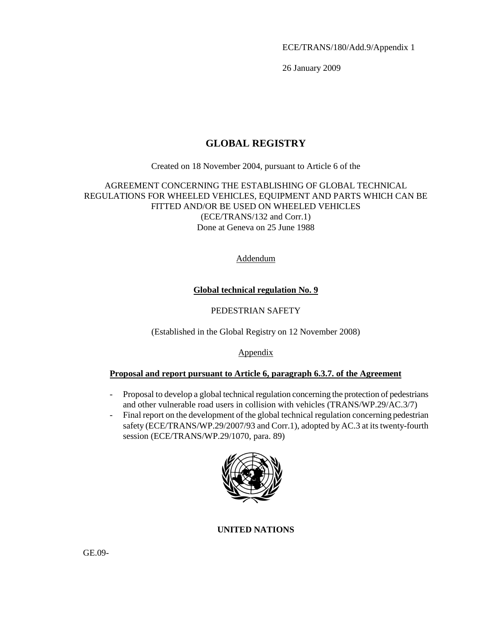ECE/TRANS/180/Add.9/Appendix 1

26 January 2009

# **GLOBAL REGISTRY**

Created on 18 November 2004, pursuant to Article 6 of the

# AGREEMENT CONCERNING THE ESTABLISHING OF GLOBAL TECHNICAL REGULATIONS FOR WHEELED VEHICLES, EQUIPMENT AND PARTS WHICH CAN BE FITTED AND/OR BE USED ON WHEELED VEHICLES (ECE/TRANS/132 and Corr.1) Done at Geneva on 25 June 1988

Addendum

# **Global technical regulation No. 9**

## PEDESTRIAN SAFETY

(Established in the Global Registry on 12 November 2008)

### Appendix

### **Proposal and report pursuant to Article 6, paragraph 6.3.7. of the Agreement**

- Proposal to develop a global technical regulation concerning the protection of pedestrians and other vulnerable road users in collision with vehicles (TRANS/WP.29/AC.3/7)
- Final report on the development of the global technical regulation concerning pedestrian safety (ECE/TRANS/WP.29/2007/93 and Corr.1), adopted by AC.3 at its twenty-fourth session (ECE/TRANS/WP.29/1070, para. 89)



### **UNITED NATIONS**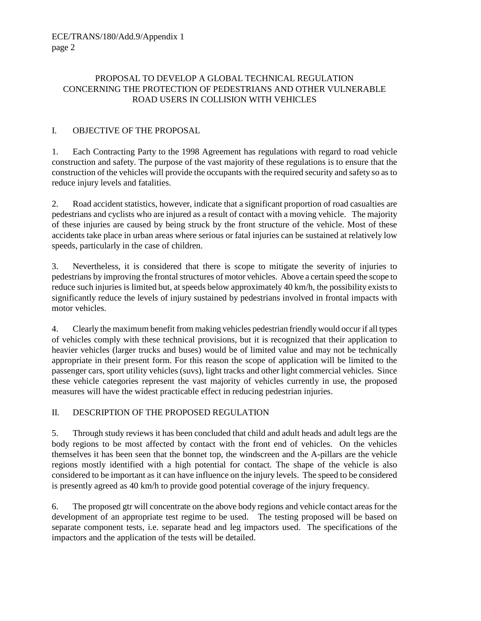## PROPOSAL TO DEVELOP A GLOBAL TECHNICAL REGULATION CONCERNING THE PROTECTION OF PEDESTRIANS AND OTHER VULNERABLE ROAD USERS IN COLLISION WITH VEHICLES

## I. OBJECTIVE OF THE PROPOSAL

1. Each Contracting Party to the 1998 Agreement has regulations with regard to road vehicle construction and safety. The purpose of the vast majority of these regulations is to ensure that the construction of the vehicles will provide the occupants with the required security and safety so as to reduce injury levels and fatalities.

2. Road accident statistics, however, indicate that a significant proportion of road casualties are pedestrians and cyclists who are injured as a result of contact with a moving vehicle. The majority of these injuries are caused by being struck by the front structure of the vehicle. Most of these accidents take place in urban areas where serious or fatal injuries can be sustained at relatively low speeds, particularly in the case of children.

3. Nevertheless, it is considered that there is scope to mitigate the severity of injuries to pedestrians by improving the frontal structures of motor vehicles. Above a certain speed the scope to reduce such injuries is limited but, at speeds below approximately 40 km/h, the possibility exists to significantly reduce the levels of injury sustained by pedestrians involved in frontal impacts with motor vehicles.

4. Clearly the maximum benefit from making vehicles pedestrian friendly would occur if all types of vehicles comply with these technical provisions, but it is recognized that their application to heavier vehicles (larger trucks and buses) would be of limited value and may not be technically appropriate in their present form. For this reason the scope of application will be limited to the passenger cars, sport utility vehicles (suvs), light tracks and other light commercial vehicles. Since these vehicle categories represent the vast majority of vehicles currently in use, the proposed measures will have the widest practicable effect in reducing pedestrian injuries.

### II. DESCRIPTION OF THE PROPOSED REGULATION

5. Through study reviews it has been concluded that child and adult heads and adult legs are the body regions to be most affected by contact with the front end of vehicles. On the vehicles themselves it has been seen that the bonnet top, the windscreen and the A-pillars are the vehicle regions mostly identified with a high potential for contact. The shape of the vehicle is also considered to be important as it can have influence on the injury levels. The speed to be considered is presently agreed as 40 km/h to provide good potential coverage of the injury frequency.

6. The proposed gtr will concentrate on the above body regions and vehicle contact areas for the development of an appropriate test regime to be used. The testing proposed will be based on separate component tests, i.e. separate head and leg impactors used. The specifications of the impactors and the application of the tests will be detailed.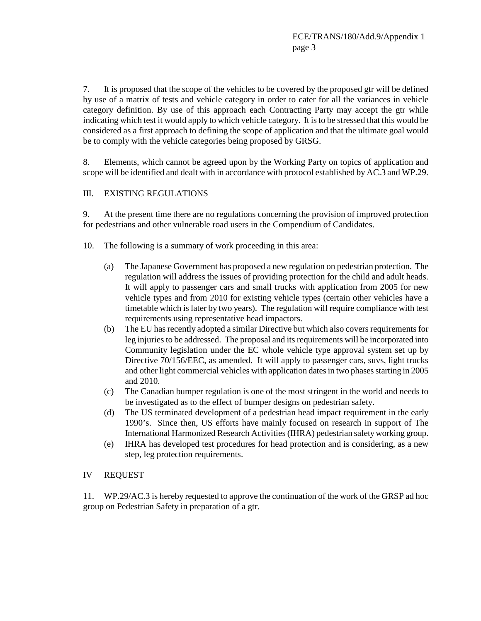7. It is proposed that the scope of the vehicles to be covered by the proposed gtr will be defined by use of a matrix of tests and vehicle category in order to cater for all the variances in vehicle category definition. By use of this approach each Contracting Party may accept the gtr while indicating which test it would apply to which vehicle category. It is to be stressed that this would be considered as a first approach to defining the scope of application and that the ultimate goal would be to comply with the vehicle categories being proposed by GRSG.

8. Elements, which cannot be agreed upon by the Working Party on topics of application and scope will be identified and dealt with in accordance with protocol established by AC.3 and WP.29.

### III. EXISTING REGULATIONS

9. At the present time there are no regulations concerning the provision of improved protection for pedestrians and other vulnerable road users in the Compendium of Candidates.

- 10. The following is a summary of work proceeding in this area:
	- (a) The Japanese Government has proposed a new regulation on pedestrian protection. The regulation will address the issues of providing protection for the child and adult heads. It will apply to passenger cars and small trucks with application from 2005 for new vehicle types and from 2010 for existing vehicle types (certain other vehicles have a timetable which is later by two years). The regulation will require compliance with test requirements using representative head impactors.
	- (b) The EU has recently adopted a similar Directive but which also covers requirements for leg injuries to be addressed. The proposal and its requirements will be incorporated into Community legislation under the EC whole vehicle type approval system set up by Directive 70/156/EEC, as amended. It will apply to passenger cars, suvs, light trucks and other light commercial vehicles with application dates in two phases starting in 2005 and 2010.
	- (c) The Canadian bumper regulation is one of the most stringent in the world and needs to be investigated as to the effect of bumper designs on pedestrian safety.
	- (d) The US terminated development of a pedestrian head impact requirement in the early 1990's. Since then, US efforts have mainly focused on research in support of The International Harmonized Research Activities (IHRA) pedestrian safety working group.
	- (e) IHRA has developed test procedures for head protection and is considering, as a new step, leg protection requirements.

#### IV REQUEST

11. WP.29/AC.3 is hereby requested to approve the continuation of the work of the GRSP ad hoc group on Pedestrian Safety in preparation of a gtr.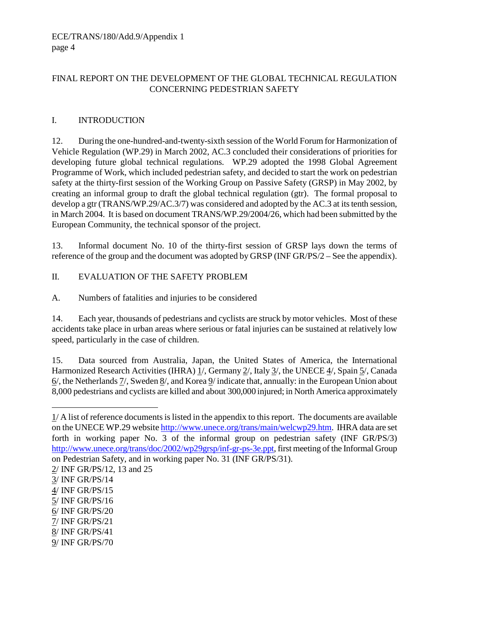### FINAL REPORT ON THE DEVELOPMENT OF THE GLOBAL TECHNICAL REGULATION CONCERNING PEDESTRIAN SAFETY

## I. INTRODUCTION

12. During the one-hundred-and-twenty-sixth session of the World Forum for Harmonization of Vehicle Regulation (WP.29) in March 2002, AC.3 concluded their considerations of priorities for developing future global technical regulations. WP.29 adopted the 1998 Global Agreement Programme of Work, which included pedestrian safety, and decided to start the work on pedestrian safety at the thirty-first session of the Working Group on Passive Safety (GRSP) in May 2002, by creating an informal group to draft the global technical regulation (gtr). The formal proposal to develop a gtr (TRANS/WP.29/AC.3/7) was considered and adopted by the AC.3 at its tenth session, in March 2004. It is based on document TRANS/WP.29/2004/26, which had been submitted by the European Community, the technical sponsor of the project.

13. Informal document No. 10 of the thirty-first session of GRSP lays down the terms of reference of the group and the document was adopted by GRSP (INF GR/PS/2 – See the appendix).

II. EVALUATION OF THE SAFETY PROBLEM

A. Numbers of fatalities and injuries to be considered

14. Each year, thousands of pedestrians and cyclists are struck by motor vehicles. Most of these accidents take place in urban areas where serious or fatal injuries can be sustained at relatively low speed, particularly in the case of children.

15. Data sourced from Australia, Japan, the United States of America, the International Harmonized Research Activities (IHRA)  $1/$ , Germany  $2/$ , Italy  $3/$ , the UNECE  $4/$ , Spain  $5/$ , Canada  $6/$ , the Netherlands  $\frac{7}{5}$ , Sweden  $\frac{8}{10}$ , and Korea  $\frac{9}{10}$  indicate that, annually: in the European Union about 8,000 pedestrians and cyclists are killed and about 300,000 injured; in North America approximately

 $\overline{a}$ 

 $1/A$  list of reference documents is listed in the appendix to this report. The documents are available on the UNECE WP.29 website http://www.unece.org/trans/main/welcwp29.htm. IHRA data are set forth in working paper No. 3 of the informal group on pedestrian safety (INF GR/PS/3) http://www.unece.org/trans/doc/2002/wp29grsp/inf-gr-ps-3e.ppt, first meeting of the Informal Group on Pedestrian Safety, and in working paper No. 31 (INF GR/PS/31).

<sup>2/</sup> INF GR/PS/12, 13 and 25

<sup>3/</sup> INF GR/PS/14

<sup>4/</sup> INF GR/PS/15

<sup>5/</sup> INF GR/PS/16

<sup>6/</sup> INF GR/PS/20

<sup>7/</sup> INF GR/PS/21

<sup>8/</sup> INF GR/PS/41

<sup>9/</sup> INF GR/PS/70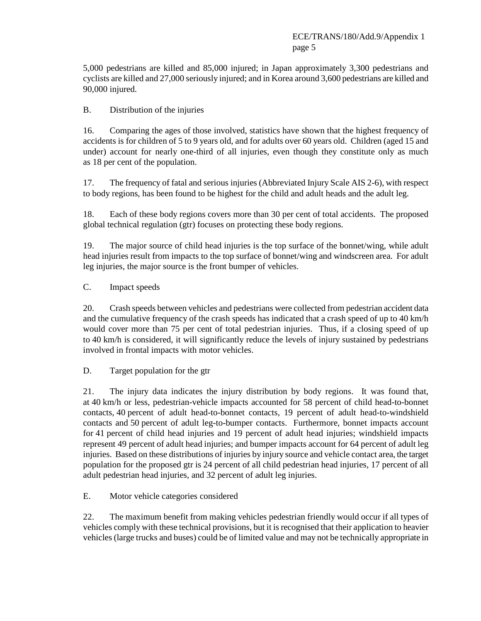5,000 pedestrians are killed and 85,000 injured; in Japan approximately 3,300 pedestrians and cyclists are killed and 27,000 seriously injured; and in Korea around 3,600 pedestrians are killed and 90,000 injured.

B. Distribution of the injuries

16. Comparing the ages of those involved, statistics have shown that the highest frequency of accidents is for children of 5 to 9 years old, and for adults over 60 years old. Children (aged 15 and under) account for nearly one-third of all injuries, even though they constitute only as much as 18 per cent of the population.

17. The frequency of fatal and serious injuries (Abbreviated Injury Scale AIS 2-6), with respect to body regions, has been found to be highest for the child and adult heads and the adult leg.

18. Each of these body regions covers more than 30 per cent of total accidents. The proposed global technical regulation (gtr) focuses on protecting these body regions.

19. The major source of child head injuries is the top surface of the bonnet/wing, while adult head injuries result from impacts to the top surface of bonnet/wing and windscreen area. For adult leg injuries, the major source is the front bumper of vehicles.

C. Impact speeds

20. Crash speeds between vehicles and pedestrians were collected from pedestrian accident data and the cumulative frequency of the crash speeds has indicated that a crash speed of up to 40 km/h would cover more than 75 per cent of total pedestrian injuries. Thus, if a closing speed of up to 40 km/h is considered, it will significantly reduce the levels of injury sustained by pedestrians involved in frontal impacts with motor vehicles.

D. Target population for the gtr

21. The injury data indicates the injury distribution by body regions. It was found that, at 40 km/h or less, pedestrian-vehicle impacts accounted for 58 percent of child head-to-bonnet contacts, 40 percent of adult head-to-bonnet contacts, 19 percent of adult head-to-windshield contacts and 50 percent of adult leg-to-bumper contacts. Furthermore, bonnet impacts account for 41 percent of child head injuries and 19 percent of adult head injuries; windshield impacts represent 49 percent of adult head injuries; and bumper impacts account for 64 percent of adult leg injuries. Based on these distributions of injuries by injury source and vehicle contact area, the target population for the proposed gtr is 24 percent of all child pedestrian head injuries, 17 percent of all adult pedestrian head injuries, and 32 percent of adult leg injuries.

E. Motor vehicle categories considered

22. The maximum benefit from making vehicles pedestrian friendly would occur if all types of vehicles comply with these technical provisions, but it is recognised that their application to heavier vehicles (large trucks and buses) could be of limited value and may not be technically appropriate in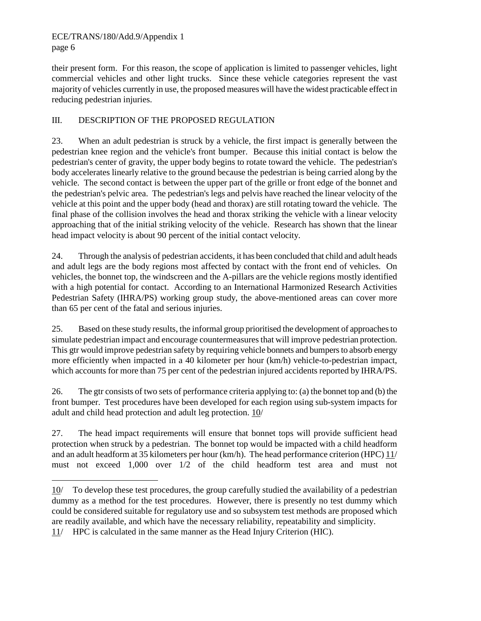-

their present form. For this reason, the scope of application is limited to passenger vehicles, light commercial vehicles and other light trucks. Since these vehicle categories represent the vast majority of vehicles currently in use, the proposed measures will have the widest practicable effect in reducing pedestrian injuries.

## III. DESCRIPTION OF THE PROPOSED REGULATION

23. When an adult pedestrian is struck by a vehicle, the first impact is generally between the pedestrian knee region and the vehicle's front bumper. Because this initial contact is below the pedestrian's center of gravity, the upper body begins to rotate toward the vehicle. The pedestrian's body accelerates linearly relative to the ground because the pedestrian is being carried along by the vehicle. The second contact is between the upper part of the grille or front edge of the bonnet and the pedestrian's pelvic area. The pedestrian's legs and pelvis have reached the linear velocity of the vehicle at this point and the upper body (head and thorax) are still rotating toward the vehicle. The final phase of the collision involves the head and thorax striking the vehicle with a linear velocity approaching that of the initial striking velocity of the vehicle. Research has shown that the linear head impact velocity is about 90 percent of the initial contact velocity.

24. Through the analysis of pedestrian accidents, it has been concluded that child and adult heads and adult legs are the body regions most affected by contact with the front end of vehicles. On vehicles, the bonnet top, the windscreen and the A-pillars are the vehicle regions mostly identified with a high potential for contact. According to an International Harmonized Research Activities Pedestrian Safety (IHRA/PS) working group study, the above-mentioned areas can cover more than 65 per cent of the fatal and serious injuries.

25. Based on these study results, the informal group prioritised the development of approaches to simulate pedestrian impact and encourage countermeasures that will improve pedestrian protection. This gtr would improve pedestrian safety by requiring vehicle bonnets and bumpers to absorb energy more efficiently when impacted in a 40 kilometer per hour (km/h) vehicle-to-pedestrian impact, which accounts for more than 75 per cent of the pedestrian injured accidents reported by IHRA/PS.

26. The gtr consists of two sets of performance criteria applying to: (a) the bonnet top and (b) the front bumper. Test procedures have been developed for each region using sub-system impacts for adult and child head protection and adult leg protection. 10/

27. The head impact requirements will ensure that bonnet tops will provide sufficient head protection when struck by a pedestrian. The bonnet top would be impacted with a child headform and an adult headform at 35 kilometers per hour (km/h). The head performance criterion (HPC) 11/ must not exceed 1,000 over 1/2 of the child headform test area and must not

<sup>10/</sup> To develop these test procedures, the group carefully studied the availability of a pedestrian dummy as a method for the test procedures. However, there is presently no test dummy which could be considered suitable for regulatory use and so subsystem test methods are proposed which are readily available, and which have the necessary reliability, repeatability and simplicity. 11/ HPC is calculated in the same manner as the Head Injury Criterion (HIC).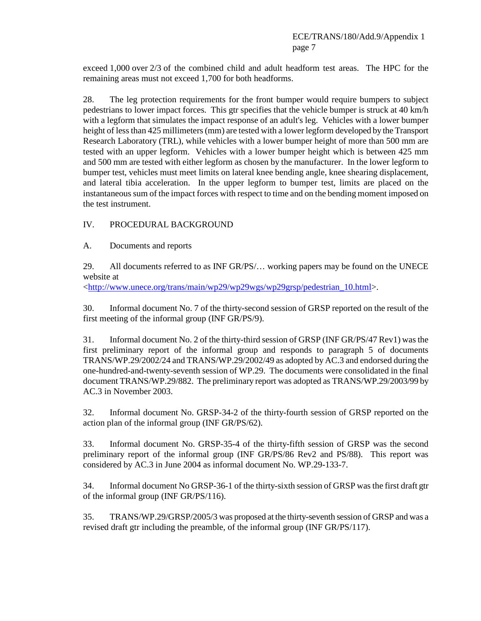exceed 1,000 over 2/3 of the combined child and adult headform test areas. The HPC for the remaining areas must not exceed 1,700 for both headforms.

28. The leg protection requirements for the front bumper would require bumpers to subject pedestrians to lower impact forces. This gtr specifies that the vehicle bumper is struck at 40 km/h with a legform that simulates the impact response of an adult's leg. Vehicles with a lower bumper height of less than 425 millimeters (mm) are tested with a lower legform developed by the Transport Research Laboratory (TRL), while vehicles with a lower bumper height of more than 500 mm are tested with an upper legform. Vehicles with a lower bumper height which is between 425 mm and 500 mm are tested with either legform as chosen by the manufacturer. In the lower legform to bumper test, vehicles must meet limits on lateral knee bending angle, knee shearing displacement, and lateral tibia acceleration. In the upper legform to bumper test, limits are placed on the instantaneous sum of the impact forces with respect to time and on the bending moment imposed on the test instrument.

#### IV. PROCEDURAL BACKGROUND

A. Documents and reports

29. All documents referred to as INF GR/PS/… working papers may be found on the UNECE website at

<http://www.unece.org/trans/main/wp29/wp29wgs/wp29grsp/pedestrian\_10.html>.

30. Informal document No. 7 of the thirty-second session of GRSP reported on the result of the first meeting of the informal group (INF GR/PS/9).

31. Informal document No. 2 of the thirty-third session of GRSP (INF GR/PS/47 Rev1) was the first preliminary report of the informal group and responds to paragraph 5 of documents TRANS/WP.29/2002/24 and TRANS/WP.29/2002/49 as adopted by AC.3 and endorsed during the one-hundred-and-twenty-seventh session of WP.29. The documents were consolidated in the final document TRANS/WP.29/882. The preliminary report was adopted as TRANS/WP.29/2003/99 by AC.3 in November 2003.

32. Informal document No. GRSP-34-2 of the thirty-fourth session of GRSP reported on the action plan of the informal group (INF GR/PS/62).

33. Informal document No. GRSP-35-4 of the thirty-fifth session of GRSP was the second preliminary report of the informal group (INF GR/PS/86 Rev2 and PS/88). This report was considered by AC.3 in June 2004 as informal document No. WP.29-133-7.

34. Informal document No GRSP-36-1 of the thirty-sixth session of GRSP was the first draft gtr of the informal group (INF GR/PS/116).

35. TRANS/WP.29/GRSP/2005/3 was proposed at the thirty-seventh session of GRSP and was a revised draft gtr including the preamble, of the informal group (INF GR/PS/117).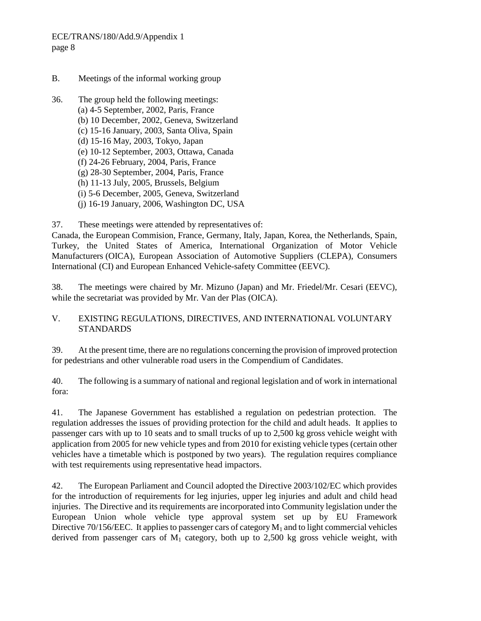ECE/TRANS/180/Add.9/Appendix 1 page 8

- B. Meetings of the informal working group
- 36. The group held the following meetings: (a) 4-5 September, 2002, Paris, France (b) 10 December, 2002, Geneva, Switzerland (c) 15-16 January, 2003, Santa Oliva, Spain (d) 15-16 May, 2003, Tokyo, Japan (e) 10-12 September, 2003, Ottawa, Canada (f) 24-26 February, 2004, Paris, France (g) 28-30 September, 2004, Paris, France (h) 11-13 July, 2005, Brussels, Belgium (i) 5-6 December, 2005, Geneva, Switzerland (j) 16-19 January, 2006, Washington DC, USA

37. These meetings were attended by representatives of:

Canada, the European Commision, France, Germany, Italy, Japan, Korea, the Netherlands, Spain, Turkey, the United States of America, International Organization of Motor Vehicle Manufacturers (OICA), European Association of Automotive Suppliers (CLEPA), Consumers International (CI) and European Enhanced Vehicle-safety Committee (EEVC).

38. The meetings were chaired by Mr. Mizuno (Japan) and Mr. Friedel/Mr. Cesari (EEVC), while the secretariat was provided by Mr. Van der Plas (OICA).

### V. EXISTING REGULATIONS, DIRECTIVES, AND INTERNATIONAL VOLUNTARY STANDARDS

39. At the present time, there are no regulations concerning the provision of improved protection for pedestrians and other vulnerable road users in the Compendium of Candidates.

40. The following is a summary of national and regional legislation and of work in international fora:

41. The Japanese Government has established a regulation on pedestrian protection. The regulation addresses the issues of providing protection for the child and adult heads. It applies to passenger cars with up to 10 seats and to small trucks of up to 2,500 kg gross vehicle weight with application from 2005 for new vehicle types and from 2010 for existing vehicle types (certain other vehicles have a timetable which is postponed by two years). The regulation requires compliance with test requirements using representative head impactors.

42. The European Parliament and Council adopted the Directive 2003/102/EC which provides for the introduction of requirements for leg injuries, upper leg injuries and adult and child head injuries. The Directive and its requirements are incorporated into Community legislation under the European Union whole vehicle type approval system set up by EU Framework Directive 70/156/EEC. It applies to passenger cars of category  $M_1$  and to light commercial vehicles derived from passenger cars of  $M_1$  category, both up to 2,500 kg gross vehicle weight, with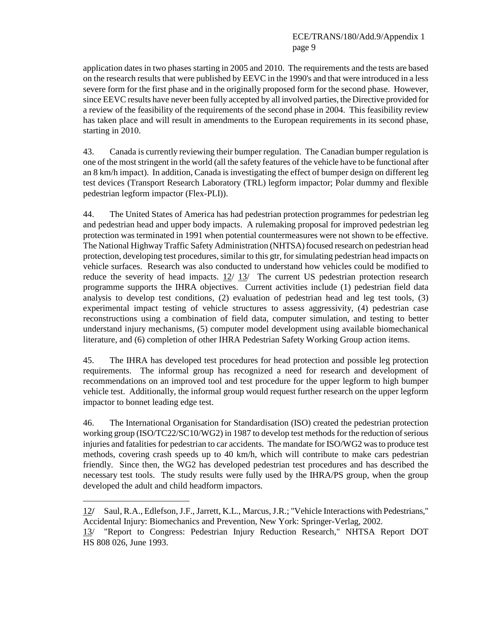application dates in two phases starting in 2005 and 2010. The requirements and the tests are based on the research results that were published by EEVC in the 1990's and that were introduced in a less severe form for the first phase and in the originally proposed form for the second phase. However, since EEVC results have never been fully accepted by all involved parties, the Directive provided for a review of the feasibility of the requirements of the second phase in 2004. This feasibility review has taken place and will result in amendments to the European requirements in its second phase, starting in 2010.

43. Canada is currently reviewing their bumper regulation. The Canadian bumper regulation is one of the most stringent in the world (all the safety features of the vehicle have to be functional after an 8 km/h impact). In addition, Canada is investigating the effect of bumper design on different leg test devices (Transport Research Laboratory (TRL) legform impactor; Polar dummy and flexible pedestrian legform impactor (Flex-PLI)).

44. The United States of America has had pedestrian protection programmes for pedestrian leg and pedestrian head and upper body impacts. A rulemaking proposal for improved pedestrian leg protection was terminated in 1991 when potential countermeasures were not shown to be effective. The National Highway Traffic Safety Administration (NHTSA) focused research on pedestrian head protection, developing test procedures, similar to this gtr, for simulating pedestrian head impacts on vehicle surfaces. Research was also conducted to understand how vehicles could be modified to reduce the severity of head impacts. 12/ 13/ The current US pedestrian protection research programme supports the IHRA objectives. Current activities include (1) pedestrian field data analysis to develop test conditions, (2) evaluation of pedestrian head and leg test tools, (3) experimental impact testing of vehicle structures to assess aggressivity, (4) pedestrian case reconstructions using a combination of field data, computer simulation, and testing to better understand injury mechanisms, (5) computer model development using available biomechanical literature, and (6) completion of other IHRA Pedestrian Safety Working Group action items.

45. The IHRA has developed test procedures for head protection and possible leg protection requirements. The informal group has recognized a need for research and development of recommendations on an improved tool and test procedure for the upper legform to high bumper vehicle test. Additionally, the informal group would request further research on the upper legform impactor to bonnet leading edge test.

46. The International Organisation for Standardisation (ISO) created the pedestrian protection working group (ISO/TC22/SC10/WG2) in 1987 to develop test methods for the reduction of serious injuries and fatalities for pedestrian to car accidents. The mandate for ISO/WG2 was to produce test methods, covering crash speeds up to 40 km/h, which will contribute to make cars pedestrian friendly. Since then, the WG2 has developed pedestrian test procedures and has described the necessary test tools. The study results were fully used by the IHRA/PS group, when the group developed the adult and child headform impactors.

 $\overline{a}$ 

<sup>12</sup>**/** Saul, R.A., Edlefson, J.F., Jarrett, K.L., Marcus, J.R.; "Vehicle Interactions with Pedestrians," Accidental Injury: Biomechanics and Prevention, New York: Springer-Verlag, 2002.

<sup>13/ &</sup>quot;Report to Congress: Pedestrian Injury Reduction Research," NHTSA Report DOT HS 808 026, June 1993.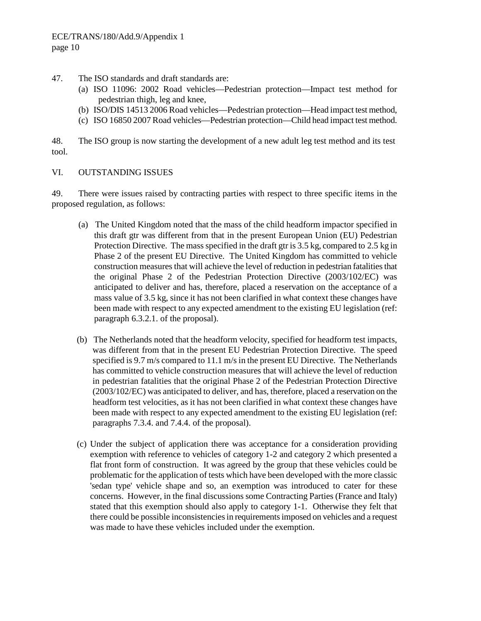- 47. The ISO standards and draft standards are:
	- (a) ISO 11096: 2002 Road vehicles—Pedestrian protection—Impact test method for pedestrian thigh, leg and knee,
	- (b) ISO/DIS 14513 2006 Road vehicles—Pedestrian protection—Head impact test method,
	- (c) ISO 16850 2007 Road vehicles—Pedestrian protection—Child head impact test method.

48. The ISO group is now starting the development of a new adult leg test method and its test tool.

#### VI. OUTSTANDING ISSUES

49. There were issues raised by contracting parties with respect to three specific items in the proposed regulation, as follows:

- (a) The United Kingdom noted that the mass of the child headform impactor specified in this draft gtr was different from that in the present European Union (EU) Pedestrian Protection Directive. The mass specified in the draft gtr is 3.5 kg, compared to 2.5 kg in Phase 2 of the present EU Directive. The United Kingdom has committed to vehicle construction measures that will achieve the level of reduction in pedestrian fatalities that the original Phase 2 of the Pedestrian Protection Directive (2003/102/EC) was anticipated to deliver and has, therefore, placed a reservation on the acceptance of a mass value of 3.5 kg, since it has not been clarified in what context these changes have been made with respect to any expected amendment to the existing EU legislation (ref: paragraph 6.3.2.1. of the proposal).
- (b) The Netherlands noted that the headform velocity, specified for headform test impacts, was different from that in the present EU Pedestrian Protection Directive. The speed specified is 9.7 m/s compared to 11.1 m/s in the present EU Directive. The Netherlands has committed to vehicle construction measures that will achieve the level of reduction in pedestrian fatalities that the original Phase 2 of the Pedestrian Protection Directive (2003/102/EC) was anticipated to deliver, and has, therefore, placed a reservation on the headform test velocities, as it has not been clarified in what context these changes have been made with respect to any expected amendment to the existing EU legislation (ref: paragraphs 7.3.4. and 7.4.4. of the proposal).
- (c) Under the subject of application there was acceptance for a consideration providing exemption with reference to vehicles of category 1-2 and category 2 which presented a flat front form of construction. It was agreed by the group that these vehicles could be problematic for the application of tests which have been developed with the more classic 'sedan type' vehicle shape and so, an exemption was introduced to cater for these concerns. However, in the final discussions some Contracting Parties (France and Italy) stated that this exemption should also apply to category 1-1. Otherwise they felt that there could be possible inconsistencies in requirements imposed on vehicles and a request was made to have these vehicles included under the exemption.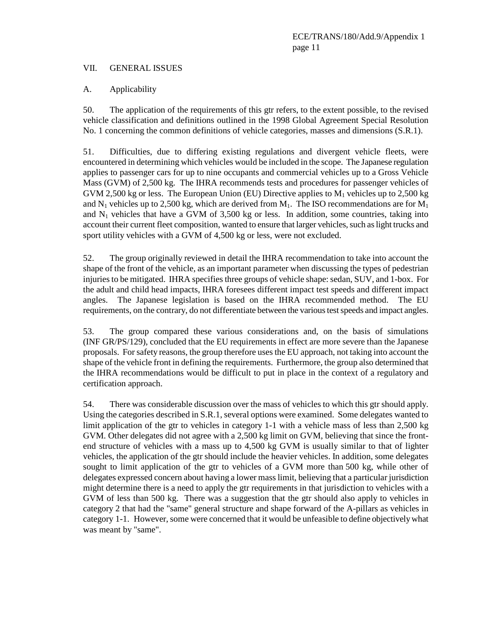#### VII. GENERAL ISSUES

#### A. Applicability

50. The application of the requirements of this gtr refers, to the extent possible, to the revised vehicle classification and definitions outlined in the 1998 Global Agreement Special Resolution No. 1 concerning the common definitions of vehicle categories, masses and dimensions (S.R.1).

51. Difficulties, due to differing existing regulations and divergent vehicle fleets, were encountered in determining which vehicles would be included in the scope. The Japanese regulation applies to passenger cars for up to nine occupants and commercial vehicles up to a Gross Vehicle Mass (GVM) of 2,500 kg. The IHRA recommends tests and procedures for passenger vehicles of GVM 2,500 kg or less. The European Union (EU) Directive applies to  $M_1$  vehicles up to 2,500 kg and  $N_1$  vehicles up to 2,500 kg, which are derived from  $M_1$ . The ISO recommendations are for  $M_1$ and  $N_1$  vehicles that have a GVM of 3,500 kg or less. In addition, some countries, taking into account their current fleet composition, wanted to ensure that larger vehicles, such as light trucks and sport utility vehicles with a GVM of 4,500 kg or less, were not excluded.

52. The group originally reviewed in detail the IHRA recommendation to take into account the shape of the front of the vehicle, as an important parameter when discussing the types of pedestrian injuries to be mitigated. IHRA specifies three groups of vehicle shape: sedan, SUV, and 1-box. For the adult and child head impacts, IHRA foresees different impact test speeds and different impact angles. The Japanese legislation is based on the IHRA recommended method. The EU requirements, on the contrary, do not differentiate between the various test speeds and impact angles.

53. The group compared these various considerations and, on the basis of simulations (INF GR/PS/129), concluded that the EU requirements in effect are more severe than the Japanese proposals. For safety reasons, the group therefore uses the EU approach, not taking into account the shape of the vehicle front in defining the requirements. Furthermore, the group also determined that the IHRA recommendations would be difficult to put in place in the context of a regulatory and certification approach.

54. There was considerable discussion over the mass of vehicles to which this gtr should apply. Using the categories described in S.R.1, several options were examined. Some delegates wanted to limit application of the gtr to vehicles in category 1-1 with a vehicle mass of less than 2,500 kg GVM. Other delegates did not agree with a 2,500 kg limit on GVM, believing that since the frontend structure of vehicles with a mass up to 4,500 kg GVM is usually similar to that of lighter vehicles, the application of the gtr should include the heavier vehicles. In addition, some delegates sought to limit application of the gtr to vehicles of a GVM more than 500 kg, while other of delegates expressed concern about having a lower mass limit, believing that a particular jurisdiction might determine there is a need to apply the gtr requirements in that jurisdiction to vehicles with a GVM of less than 500 kg. There was a suggestion that the gtr should also apply to vehicles in category 2 that had the "same" general structure and shape forward of the A-pillars as vehicles in category 1-1. However, some were concerned that it would be unfeasible to define objectively what was meant by "same".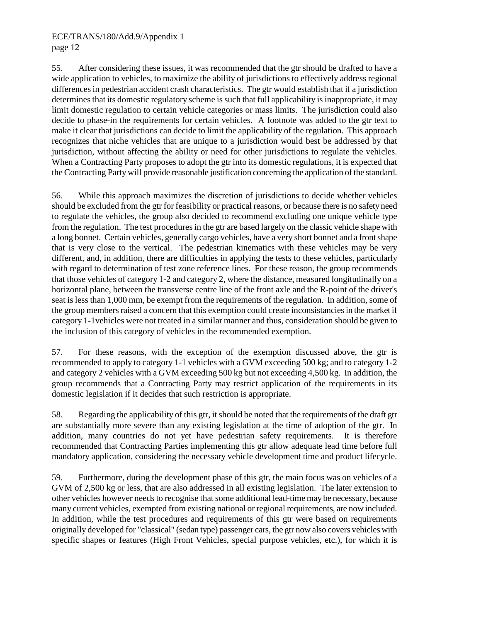### ECE/TRANS/180/Add.9/Appendix 1 page 12

55. After considering these issues, it was recommended that the gtr should be drafted to have a wide application to vehicles, to maximize the ability of jurisdictions to effectively address regional differences in pedestrian accident crash characteristics. The gtr would establish that if a jurisdiction determines that its domestic regulatory scheme is such that full applicability is inappropriate, it may limit domestic regulation to certain vehicle categories or mass limits. The jurisdiction could also decide to phase-in the requirements for certain vehicles. A footnote was added to the gtr text to make it clear that jurisdictions can decide to limit the applicability of the regulation. This approach recognizes that niche vehicles that are unique to a jurisdiction would best be addressed by that jurisdiction, without affecting the ability or need for other jurisdictions to regulate the vehicles. When a Contracting Party proposes to adopt the gtr into its domestic regulations, it is expected that the Contracting Party will provide reasonable justification concerning the application of the standard.

56. While this approach maximizes the discretion of jurisdictions to decide whether vehicles should be excluded from the gtr for feasibility or practical reasons, or because there is no safety need to regulate the vehicles, the group also decided to recommend excluding one unique vehicle type from the regulation. The test procedures in the gtr are based largely on the classic vehicle shape with a long bonnet. Certain vehicles, generally cargo vehicles, have a very short bonnet and a front shape that is very close to the vertical. The pedestrian kinematics with these vehicles may be very different, and, in addition, there are difficulties in applying the tests to these vehicles, particularly with regard to determination of test zone reference lines. For these reason, the group recommends that those vehicles of category 1-2 and category 2, where the distance, measured longitudinally on a horizontal plane, between the transverse centre line of the front axle and the R-point of the driver's seat is less than 1,000 mm, be exempt from the requirements of the regulation. In addition, some of the group members raised a concern that this exemption could create inconsistancies in the market if category 1-1vehicles were not treated in a similar manner and thus, consideration should be given to the inclusion of this category of vehicles in the recommended exemption.

57. For these reasons, with the exception of the exemption discussed above, the gtr is recommended to apply to category 1-1 vehicles with a GVM exceeding 500 kg; and to category 1-2 and category 2 vehicles with a GVM exceeding 500 kg but not exceeding 4,500 kg. In addition, the group recommends that a Contracting Party may restrict application of the requirements in its domestic legislation if it decides that such restriction is appropriate.

58. Regarding the applicability of this gtr, it should be noted that the requirements of the draft gtr are substantially more severe than any existing legislation at the time of adoption of the gtr. In addition, many countries do not yet have pedestrian safety requirements. It is therefore recommended that Contracting Parties implementing this gtr allow adequate lead time before full mandatory application, considering the necessary vehicle development time and product lifecycle.

59. Furthermore, during the development phase of this gtr, the main focus was on vehicles of a GVM of 2,500 kg or less, that are also addressed in all existing legislation. The later extension to other vehicles however needs to recognise that some additional lead-time may be necessary, because many current vehicles, exempted from existing national or regional requirements, are now included. In addition, while the test procedures and requirements of this gtr were based on requirements originally developed for "classical" (sedan type) passenger cars, the gtr now also covers vehicles with specific shapes or features (High Front Vehicles, special purpose vehicles, etc.), for which it is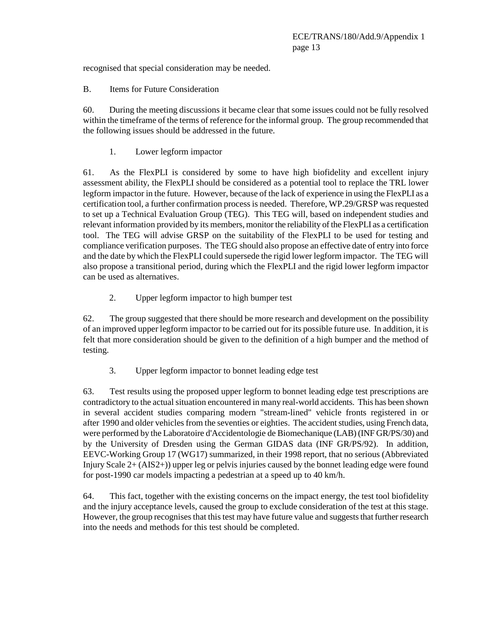recognised that special consideration may be needed.

B. Items for Future Consideration

60. During the meeting discussions it became clear that some issues could not be fully resolved within the timeframe of the terms of reference for the informal group. The group recommended that the following issues should be addressed in the future.

#### 1. Lower legform impactor

61. As the FlexPLI is considered by some to have high biofidelity and excellent injury assessment ability, the FlexPLI should be considered as a potential tool to replace the TRL lower legform impactor in the future. However, because of the lack of experience in using the FlexPLI as a certification tool, a further confirmation process is needed. Therefore, WP.29/GRSP was requested to set up a Technical Evaluation Group (TEG). This TEG will, based on independent studies and relevant information provided by its members, monitor the reliability of the FlexPLI as a certification tool. The TEG will advise GRSP on the suitability of the FlexPLI to be used for testing and compliance verification purposes. The TEG should also propose an effective date of entry into force and the date by which the FlexPLI could supersede the rigid lower legform impactor. The TEG will also propose a transitional period, during which the FlexPLI and the rigid lower legform impactor can be used as alternatives.

2. Upper legform impactor to high bumper test

62. The group suggested that there should be more research and development on the possibility of an improved upper legform impactor to be carried out for its possible future use. In addition, it is felt that more consideration should be given to the definition of a high bumper and the method of testing.

3. Upper legform impactor to bonnet leading edge test

63. Test results using the proposed upper legform to bonnet leading edge test prescriptions are contradictory to the actual situation encountered in many real-world accidents. This has been shown in several accident studies comparing modern "stream-lined" vehicle fronts registered in or after 1990 and older vehicles from the seventies or eighties. The accident studies, using French data, were performed by the Laboratoire d'Accidentologie de Biomechanique (LAB) (INF GR/PS/30) and by the University of Dresden using the German GIDAS data (INF GR/PS/92). In addition, EEVC-Working Group 17 (WG17) summarized, in their 1998 report, that no serious (Abbreviated Injury Scale 2+ (AIS2+)) upper leg or pelvis injuries caused by the bonnet leading edge were found for post-1990 car models impacting a pedestrian at a speed up to 40 km/h.

64. This fact, together with the existing concerns on the impact energy, the test tool biofidelity and the injury acceptance levels, caused the group to exclude consideration of the test at this stage. However, the group recognises that this test may have future value and suggests that further research into the needs and methods for this test should be completed.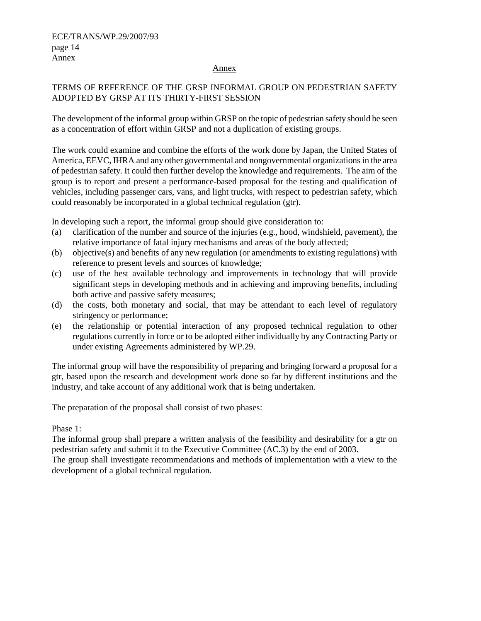#### Annex

### TERMS OF REFERENCE OF THE GRSP INFORMAL GROUP ON PEDESTRIAN SAFETY ADOPTED BY GRSP AT ITS THIRTY-FIRST SESSION

The development of the informal group within GRSP on the topic of pedestrian safety should be seen as a concentration of effort within GRSP and not a duplication of existing groups.

The work could examine and combine the efforts of the work done by Japan, the United States of America, EEVC, IHRA and any other governmental and nongovernmental organizations in the area of pedestrian safety. It could then further develop the knowledge and requirements. The aim of the group is to report and present a performance-based proposal for the testing and qualification of vehicles, including passenger cars, vans, and light trucks, with respect to pedestrian safety, which could reasonably be incorporated in a global technical regulation (gtr).

In developing such a report, the informal group should give consideration to:

- (a) clarification of the number and source of the injuries (e.g., hood, windshield, pavement), the relative importance of fatal injury mechanisms and areas of the body affected;
- (b) objective(s) and benefits of any new regulation (or amendments to existing regulations) with reference to present levels and sources of knowledge;
- (c) use of the best available technology and improvements in technology that will provide significant steps in developing methods and in achieving and improving benefits, including both active and passive safety measures;
- (d) the costs, both monetary and social, that may be attendant to each level of regulatory stringency or performance;
- (e) the relationship or potential interaction of any proposed technical regulation to other regulations currently in force or to be adopted either individually by any Contracting Party or under existing Agreements administered by WP.29.

The informal group will have the responsibility of preparing and bringing forward a proposal for a gtr, based upon the research and development work done so far by different institutions and the industry, and take account of any additional work that is being undertaken.

The preparation of the proposal shall consist of two phases:

Phase 1:

The informal group shall prepare a written analysis of the feasibility and desirability for a gtr on pedestrian safety and submit it to the Executive Committee (AC.3) by the end of 2003.

The group shall investigate recommendations and methods of implementation with a view to the development of a global technical regulation.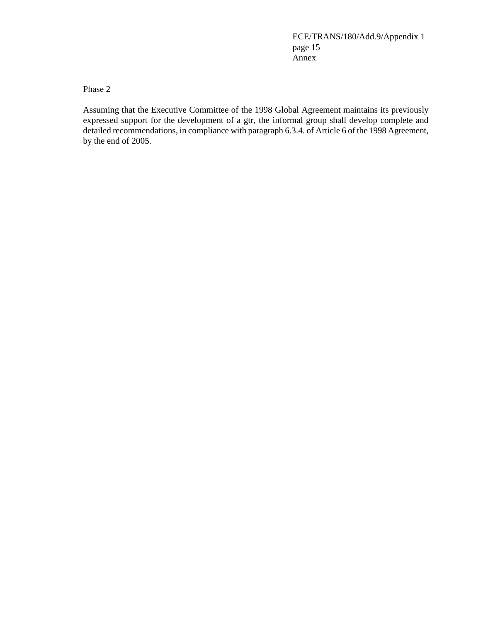ECE/TRANS/180/Add.9/Appendix 1 page 15 Annex

Phase 2

Assuming that the Executive Committee of the 1998 Global Agreement maintains its previously expressed support for the development of a gtr, the informal group shall develop complete and detailed recommendations, in compliance with paragraph 6.3.4. of Article 6 of the 1998 Agreement, by the end of 2005.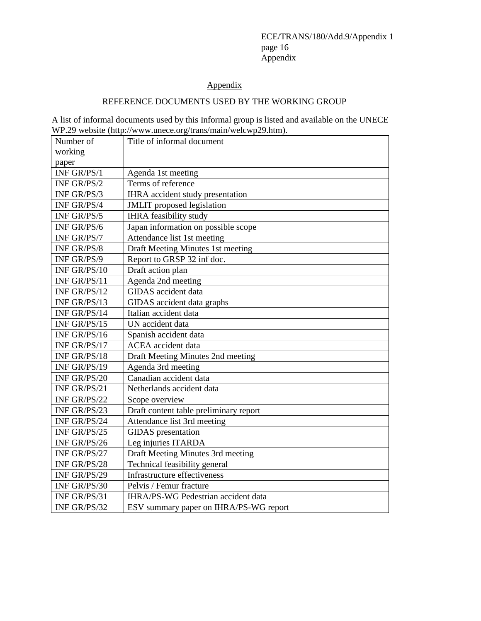ECE/TRANS/180/Add.9/Appendix 1 page 16 Appendix

# Appendix

# REFERENCE DOCUMENTS USED BY THE WORKING GROUP

A list of informal documents used by this Informal group is listed and available on the UNECE WP.29 website (http://www.unece.org/trans/main/welcwp29.htm).

| Number of    | Title of informal document             |
|--------------|----------------------------------------|
| working      |                                        |
| paper        |                                        |
| INF GR/PS/1  | Agenda 1st meeting                     |
| INF GR/PS/2  | Terms of reference                     |
| INF GR/PS/3  | IHRA accident study presentation       |
| INF GR/PS/4  | JMLIT proposed legislation             |
| INF GR/PS/5  | <b>IHRA</b> feasibility study          |
| INF GR/PS/6  | Japan information on possible scope    |
| INF GR/PS/7  | Attendance list 1st meeting            |
| INF GR/PS/8  | Draft Meeting Minutes 1st meeting      |
| INF GR/PS/9  | Report to GRSP 32 inf doc.             |
| INF GR/PS/10 | Draft action plan                      |
| INF GR/PS/11 | Agenda 2nd meeting                     |
| INF GR/PS/12 | GIDAS accident data                    |
| INF GR/PS/13 | GIDAS accident data graphs             |
| INF GR/PS/14 | Italian accident data                  |
| INF GR/PS/15 | UN accident data                       |
| INF GR/PS/16 | Spanish accident data                  |
| INF GR/PS/17 | <b>ACEA</b> accident data              |
| INF GR/PS/18 | Draft Meeting Minutes 2nd meeting      |
| INF GR/PS/19 | Agenda 3rd meeting                     |
| INF GR/PS/20 | Canadian accident data                 |
| INF GR/PS/21 | Netherlands accident data              |
| INF GR/PS/22 | Scope overview                         |
| INF GR/PS/23 | Draft content table preliminary report |
| INF GR/PS/24 | Attendance list 3rd meeting            |
| INF GR/PS/25 | <b>GIDAS</b> presentation              |
| INF GR/PS/26 | Leg injuries ITARDA                    |
| INF GR/PS/27 | Draft Meeting Minutes 3rd meeting      |
| INF GR/PS/28 | Technical feasibility general          |
| INF GR/PS/29 | Infrastructure effectiveness           |
| INF GR/PS/30 | Pelvis / Femur fracture                |
| INF GR/PS/31 | IHRA/PS-WG Pedestrian accident data    |
| INF GR/PS/32 | ESV summary paper on IHRA/PS-WG report |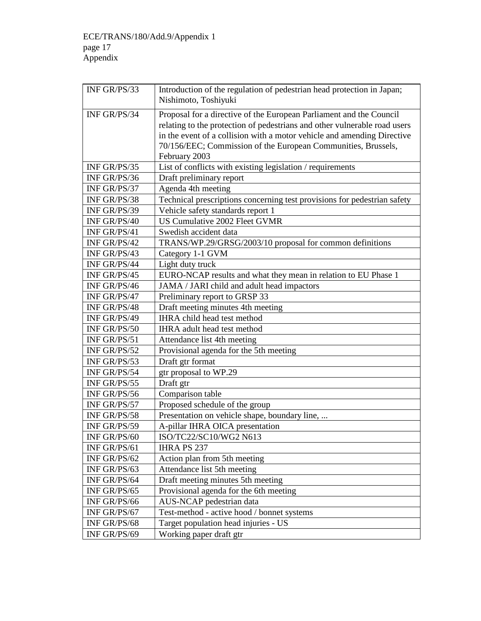| INF GR/PS/33 | Introduction of the regulation of pedestrian head protection in Japan;<br>Nishimoto, Toshiyuki                                                                                                                                                                                                                |
|--------------|---------------------------------------------------------------------------------------------------------------------------------------------------------------------------------------------------------------------------------------------------------------------------------------------------------------|
| INF GR/PS/34 | Proposal for a directive of the European Parliament and the Council<br>relating to the protection of pedestrians and other vulnerable road users<br>in the event of a collision with a motor vehicle and amending Directive<br>70/156/EEC; Commission of the European Communities, Brussels,<br>February 2003 |
| INF GR/PS/35 | List of conflicts with existing legislation / requirements                                                                                                                                                                                                                                                    |
| INF GR/PS/36 | Draft preliminary report                                                                                                                                                                                                                                                                                      |
| INF GR/PS/37 | Agenda 4th meeting                                                                                                                                                                                                                                                                                            |
| INF GR/PS/38 | Technical prescriptions concerning test provisions for pedestrian safety                                                                                                                                                                                                                                      |
| INF GR/PS/39 | Vehicle safety standards report 1                                                                                                                                                                                                                                                                             |
| INF GR/PS/40 | US Cumulative 2002 Fleet GVMR                                                                                                                                                                                                                                                                                 |
| INF GR/PS/41 | Swedish accident data                                                                                                                                                                                                                                                                                         |
| INF GR/PS/42 | TRANS/WP.29/GRSG/2003/10 proposal for common definitions                                                                                                                                                                                                                                                      |
| INF GR/PS/43 | Category 1-1 GVM                                                                                                                                                                                                                                                                                              |
| INF GR/PS/44 | Light duty truck                                                                                                                                                                                                                                                                                              |
| INF GR/PS/45 | EURO-NCAP results and what they mean in relation to EU Phase 1                                                                                                                                                                                                                                                |
| INF GR/PS/46 | JAMA / JARI child and adult head impactors                                                                                                                                                                                                                                                                    |
| INF GR/PS/47 | Preliminary report to GRSP 33                                                                                                                                                                                                                                                                                 |
| INF GR/PS/48 | Draft meeting minutes 4th meeting                                                                                                                                                                                                                                                                             |
| INF GR/PS/49 | IHRA child head test method                                                                                                                                                                                                                                                                                   |
| INF GR/PS/50 | IHRA adult head test method                                                                                                                                                                                                                                                                                   |
| INF GR/PS/51 | Attendance list 4th meeting                                                                                                                                                                                                                                                                                   |
| INF GR/PS/52 | Provisional agenda for the 5th meeting                                                                                                                                                                                                                                                                        |
| INF GR/PS/53 | Draft gtr format                                                                                                                                                                                                                                                                                              |
| INF GR/PS/54 | gtr proposal to WP.29                                                                                                                                                                                                                                                                                         |
| INF GR/PS/55 | Draft gtr                                                                                                                                                                                                                                                                                                     |
| INF GR/PS/56 | Comparison table                                                                                                                                                                                                                                                                                              |
| INF GR/PS/57 | Proposed schedule of the group                                                                                                                                                                                                                                                                                |
| INF GR/PS/58 | Presentation on vehicle shape, boundary line,                                                                                                                                                                                                                                                                 |
| INF GR/PS/59 | A-pillar IHRA OICA presentation                                                                                                                                                                                                                                                                               |
| INF GR/PS/60 | ISO/TC22/SC10/WG2 N613                                                                                                                                                                                                                                                                                        |
| INF GR/PS/61 | <b>IHRA PS 237</b>                                                                                                                                                                                                                                                                                            |
| INF GR/PS/62 | Action plan from 5th meeting                                                                                                                                                                                                                                                                                  |
| INF GR/PS/63 | Attendance list 5th meeting                                                                                                                                                                                                                                                                                   |
| INF GR/PS/64 | Draft meeting minutes 5th meeting                                                                                                                                                                                                                                                                             |
| INF GR/PS/65 | Provisional agenda for the 6th meeting                                                                                                                                                                                                                                                                        |
| INF GR/PS/66 | AUS-NCAP pedestrian data                                                                                                                                                                                                                                                                                      |
| INF GR/PS/67 | Test-method - active hood / bonnet systems                                                                                                                                                                                                                                                                    |
| INF GR/PS/68 | Target population head injuries - US                                                                                                                                                                                                                                                                          |
| INF GR/PS/69 | Working paper draft gtr                                                                                                                                                                                                                                                                                       |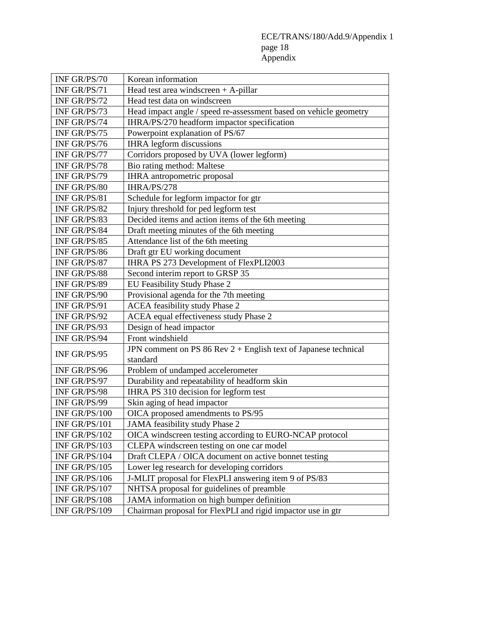## ECE/TRANS/180/Add.9/Appendix 1 page 18 Appendix

| INF GR/PS/70  | Korean information                                                |
|---------------|-------------------------------------------------------------------|
| INF GR/PS/71  | Head test area windscreen $+$ A-pillar                            |
| INF GR/PS/72  | Head test data on windscreen                                      |
| INF GR/PS/73  | Head impact angle / speed re-assessment based on vehicle geometry |
| INF GR/PS/74  | IHRA/PS/270 headform impactor specification                       |
| INF GR/PS/75  | Powerpoint explanation of PS/67                                   |
| INF GR/PS/76  | <b>IHRA</b> legform discussions                                   |
| INF GR/PS/77  | Corridors proposed by UVA (lower legform)                         |
| INF GR/PS/78  | Bio rating method: Maltese                                        |
| INF GR/PS/79  | IHRA antropometric proposal                                       |
| INF GR/PS/80  | IHRA/PS/278                                                       |
| INF GR/PS/81  | Schedule for legform impactor for gtr                             |
| INF GR/PS/82  | Injury threshold for ped legform test                             |
| INF GR/PS/83  | Decided items and action items of the 6th meeting                 |
| INF GR/PS/84  | Draft meeting minutes of the 6th meeting                          |
| INF GR/PS/85  | Attendance list of the 6th meeting                                |
| INF GR/PS/86  | Draft gtr EU working document                                     |
| INF GR/PS/87  | IHRA PS 273 Development of FlexPLI2003                            |
| INF GR/PS/88  | Second interim report to GRSP 35                                  |
| INF GR/PS/89  | EU Feasibility Study Phase 2                                      |
| INF GR/PS/90  | Provisional agenda for the 7th meeting                            |
| INF GR/PS/91  | <b>ACEA</b> feasibility study Phase 2                             |
| INF GR/PS/92  | ACEA equal effectiveness study Phase 2                            |
| INF GR/PS/93  | Design of head impactor                                           |
| INF GR/PS/94  | Front windshield                                                  |
| INF GR/PS/95  | JPN comment on PS 86 Rev 2 + English text of Japanese technical   |
|               | standard                                                          |
| INF GR/PS/96  | Problem of undamped accelerometer                                 |
| INF GR/PS/97  | Durability and repeatability of headform skin                     |
| INF GR/PS/98  | IHRA PS 310 decision for legform test                             |
| INF GR/PS/99  | Skin aging of head impactor                                       |
| INF GR/PS/100 | OICA proposed amendments to PS/95                                 |
| INF GR/PS/101 | JAMA feasibility study Phase 2                                    |
| INF GR/PS/102 | OICA windscreen testing according to EURO-NCAP protocol           |
| INF GR/PS/103 | CLEPA windscreen testing on one car model                         |
| INF GR/PS/104 | Draft CLEPA / OICA document on active bonnet testing              |
| INF GR/PS/105 | Lower leg research for developing corridors                       |
| INF GR/PS/106 | J-MLIT proposal for FlexPLI answering item 9 of PS/83             |
| INF GR/PS/107 | NHTSA proposal for guidelines of preamble                         |
| INF GR/PS/108 | JAMA information on high bumper definition                        |
| INF GR/PS/109 | Chairman proposal for FlexPLI and rigid impactor use in gtr       |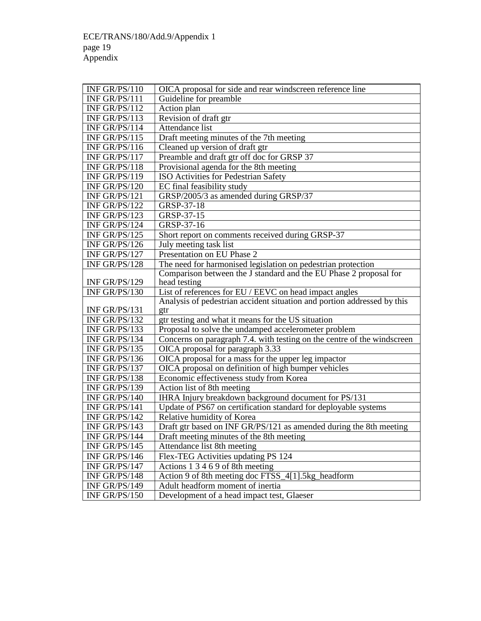| INF GR/PS/110 | OICA proposal for side and rear windscreen reference line               |
|---------------|-------------------------------------------------------------------------|
| INF GR/PS/111 | Guideline for preamble                                                  |
| INF GR/PS/112 | Action plan                                                             |
| INF GR/PS/113 | Revision of draft gtr                                                   |
| INF GR/PS/114 | Attendance list                                                         |
| INF GR/PS/115 | Draft meeting minutes of the 7th meeting                                |
| INF GR/PS/116 | Cleaned up version of draft gtr                                         |
| INF GR/PS/117 | Preamble and draft gtr off doc for GRSP 37                              |
| INF GR/PS/118 | Provisional agenda for the 8th meeting                                  |
| INF GR/PS/119 | ISO Activities for Pedestrian Safety                                    |
| INF GR/PS/120 | EC final feasibility study                                              |
| INF GR/PS/121 | GRSP/2005/3 as amended during GRSP/37                                   |
| INF GR/PS/122 | GRSP-37-18                                                              |
| INF GR/PS/123 | GRSP-37-15                                                              |
| INF GR/PS/124 | GRSP-37-16                                                              |
| INF GR/PS/125 | Short report on comments received during GRSP-37                        |
| INF GR/PS/126 | July meeting task list                                                  |
| INF GR/PS/127 | Presentation on EU Phase 2                                              |
| INF GR/PS/128 | The need for harmonised legislation on pedestrian protection            |
|               | Comparison between the J standard and the EU Phase 2 proposal for       |
| INF GR/PS/129 | head testing                                                            |
| INF GR/PS/130 | List of references for EU / EEVC on head impact angles                  |
|               | Analysis of pedestrian accident situation and portion addressed by this |
| INF GR/PS/131 | gtr                                                                     |
| INF GR/PS/132 | gtr testing and what it means for the US situation                      |
| INF GR/PS/133 | Proposal to solve the undamped accelerometer problem                    |
| INF GR/PS/134 | Concerns on paragraph 7.4. with testing on the centre of the windscreen |
| INF GR/PS/135 | OICA proposal for paragraph 3.33                                        |
| INF GR/PS/136 | OICA proposal for a mass for the upper leg impactor                     |
| INF GR/PS/137 | OICA proposal on definition of high bumper vehicles                     |
| INF GR/PS/138 | Economic effectiveness study from Korea                                 |
| INF GR/PS/139 | Action list of 8th meeting                                              |
| INF GR/PS/140 | IHRA Injury breakdown background document for PS/131                    |
| INF GR/PS/141 | Update of PS67 on certification standard for deployable systems         |
| INF GR/PS/142 | Relative humidity of Korea                                              |
| INF GR/PS/143 | Draft gtr based on INF GR/PS/121 as amended during the 8th meeting      |
| INF GR/PS/144 | Draft meeting minutes of the 8th meeting                                |
| INF GR/PS/145 | Attendance list 8th meeting                                             |
| INF GR/PS/146 | Flex-TEG Activities updating PS 124                                     |
| INF GR/PS/147 | Actions 1 3 4 6 9 of 8th meeting                                        |
| INF GR/PS/148 | Action 9 of 8th meeting doc FTSS_4[1].5kg_headform                      |
| INF GR/PS/149 | Adult headform moment of inertia                                        |
| INF GR/PS/150 | Development of a head impact test, Glaeser                              |